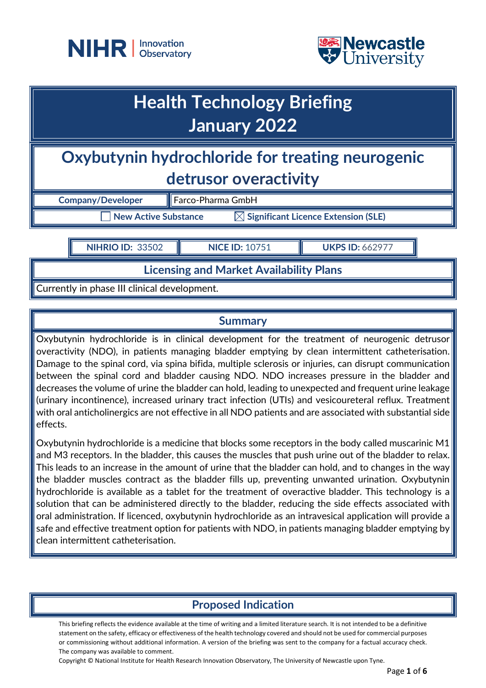



## **Health Technology Briefing January 2022**

## **Oxybutynin hydrochloride for treating neurogenic detrusor overactivity**

| <b>Company/Developer</b> | Farco-Pharma GmbH                               |
|--------------------------|-------------------------------------------------|
| New Active Substance     | $\boxtimes$ Significant Licence Extension (SLE) |

**NIHRIO ID:** 33502 **NICE ID:** 10751 **NICE ID: UKPS ID:** 662977

**Licensing and Market Availability Plans**

Currently in phase III clinical development.

#### **Summary**

Oxybutynin hydrochloride is in clinical development for the treatment of neurogenic detrusor overactivity (NDO), in patients managing bladder emptying by clean intermittent catheterisation. Damage to the spinal cord, via spina bifida, multiple sclerosis or injuries, can disrupt communication between the spinal cord and bladder causing NDO. NDO increases pressure in the bladder and decreases the volume of urine the bladder can hold, leading to unexpected and frequent urine leakage (urinary incontinence), increased urinary tract infection (UTIs) and vesicoureteral reflux. Treatment with oral anticholinergics are not effective in all NDO patients and are associated with substantial side effects.

Oxybutynin hydrochloride is a medicine that blocks some receptors in the body called muscarinic M1 and M3 receptors. In the bladder, this causes the muscles that push urine out of the bladder to relax. This leads to an increase in the amount of urine that the bladder can hold, and to changes in the way the bladder muscles contract as the bladder fills up, preventing unwanted urination. Oxybutynin hydrochloride is available as a tablet for the treatment of overactive bladder. This technology is a solution that can be administered directly to the bladder, reducing the side effects associated with oral administration. If licenced, oxybutynin hydrochloride as an intravesical application will provide a safe and effective treatment option for patients with NDO, in patients managing bladder emptying by clean intermittent catheterisation.

## **Proposed Indication**

This briefing reflects the evidence available at the time of writing and a limited literature search. It is not intended to be a definitive statement on the safety, efficacy or effectiveness of the health technology covered and should not be used for commercial purposes or commissioning without additional information. A version of the briefing was sent to the company for a factual accuracy check. The company was available to comment.

Copyright © National Institute for Health Research Innovation Observatory, The University of Newcastle upon Tyne.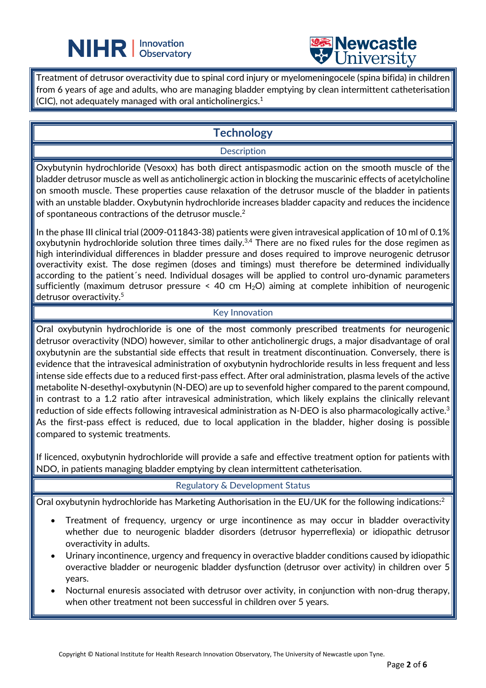# **NIHR** | Innovation



Treatment of detrusor overactivity due to spinal cord injury or myelomeningocele (spina bifida) in children from 6 years of age and adults, who are managing bladder emptying by clean intermittent catheterisation (CIC), not adequately managed with oral anticholinergics. $^1$ 

L

### **Technology**

#### **Description**

Oxybutynin hydrochloride (Vesoxx) has both direct antispasmodic action on the smooth muscle of the bladder detrusor muscle as well as anticholinergic action in blocking the muscarinic effects of acetylcholine on smooth muscle. These properties cause relaxation of the detrusor muscle of the bladder in patients with an unstable bladder. Oxybutynin hydrochloride increases bladder capacity and reduces the incidence of spontaneous contractions of the detrusor muscle.2

In the phase III clinical trial (2009-011843-38) patients were given intravesical application of 10 ml of 0.1% oxybutynin hydrochloride solution three times daily.<sup>3,4</sup> There are no fixed rules for the dose regimen as high interindividual differences in bladder pressure and doses required to improve neurogenic detrusor overactivity exist. The dose regimen (doses and timings) must therefore be determined individually according to the patient´s need. Individual dosages will be applied to control uro-dynamic parameters sufficiently (maximum detrusor pressure  $\leq$  40 cm H<sub>2</sub>O) aiming at complete inhibition of neurogenic detrusor overactivity.<sup>5</sup>

#### Key Innovation

Oral oxybutynin hydrochloride is one of the most commonly prescribed treatments for neurogenic detrusor overactivity (NDO) however, similar to other anticholinergic drugs, a major disadvantage of oral oxybutynin are the substantial side effects that result in treatment discontinuation. Conversely, there is evidence that the intravesical administration of oxybutynin hydrochloride results in less frequent and less intense side effects due to a reduced first-pass effect. After oral administration, plasma levels of the active metabolite N-desethyl-oxybutynin (N-DEO) are up to sevenfold higher compared to the parent compound, in contrast to a 1.2 ratio after intravesical administration, which likely explains the clinically relevant reduction of side effects following intravesical administration as N-DEO is also pharmacologically active.<sup>3</sup> As the first-pass effect is reduced, due to local application in the bladder, higher dosing is possible compared to systemic treatments.

If licenced, oxybutynin hydrochloride will provide a safe and effective treatment option for patients with NDO, in patients managing bladder emptying by clean intermittent catheterisation.

Regulatory & Development Status

Oral oxybutynin hydrochloride has Marketing Authorisation in the EU/UK for the following indications:<sup>2</sup>

- Treatment of frequency, urgency or urge incontinence as may occur in bladder overactivity whether due to neurogenic bladder disorders (detrusor hyperreflexia) or idiopathic detrusor overactivity in adults.
- Urinary incontinence, urgency and frequency in overactive bladder conditions caused by idiopathic overactive bladder or neurogenic bladder dysfunction (detrusor over activity) in children over 5 years.
- Nocturnal enuresis associated with detrusor over activity, in conjunction with non-drug therapy, when other treatment not been successful in children over 5 years.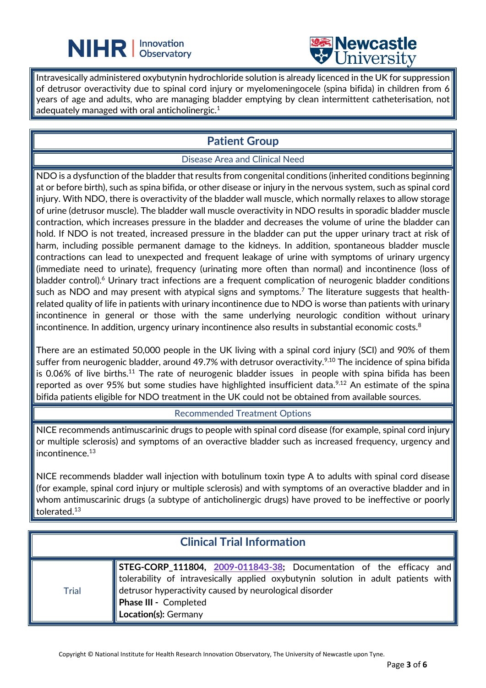



Intravesically administered oxybutynin hydrochloride solution is already licenced in the UK for suppression of detrusor overactivity due to spinal cord injury or myelomeningocele (spina bifida) in children from 6 years of age and adults, who are managing bladder emptying by clean intermittent catheterisation, not adequately managed with oral anticholinergic. $^{\rm 1}$ 

L

## **Patient Group**

#### Disease Area and Clinical Need

NDO is a dysfunction of the bladder that results from congenital conditions (inherited conditions beginning at or before birth), such as spina bifida, or other disease or injury in the nervous system, such as spinal cord injury. With NDO, there is overactivity of the bladder wall muscle, which normally relaxes to allow storage of urine (detrusor muscle). The bladder wall muscle overactivity in NDO results in sporadic bladder muscle contraction, which increases pressure in the bladder and decreases the volume of urine the bladder can hold. If NDO is not treated, increased pressure in the bladder can put the upper urinary tract at risk of harm, including possible permanent damage to the kidneys. In addition, spontaneous bladder muscle contractions can lead to unexpected and frequent leakage of urine with symptoms of urinary urgency (immediate need to urinate), frequency (urinating more often than normal) and incontinence (loss of bladder control).<sup>6</sup> Urinary tract infections are a frequent complication of neurogenic bladder conditions such as NDO and may present with atypical signs and symptoms. <sup>7</sup> The literature suggests that healthrelated quality of life in patients with urinary incontinence due to NDO is worse than patients with urinary incontinence in general or those with the same underlying neurologic condition without urinary incontinence. In addition, urgency urinary incontinence also results in substantial economic costs. $8$ 

There are an estimated 50,000 people in the UK living with a spinal cord injury (SCI) and 90% of them suffer from neurogenic bladder, around 49.7% with detrusor overactivity.<sup>9,10</sup> The incidence of spina bifida is 0.06% of live births.<sup>11</sup> The rate of neurogenic bladder issues in people with spina bifida has been reported as over 95% but some studies have highlighted insufficient data.<sup>9,12</sup> An estimate of the spina bifida patients eligible for NDO treatment in the UK could not be obtained from available sources.

Recommended Treatment Options

NICE recommends antimuscarinic drugs to people with spinal cord disease (for example, spinal cord injury or multiple sclerosis) and symptoms of an overactive bladder such as increased frequency, urgency and incontinence. 13

NICE recommends bladder wall injection with botulinum toxin type A to adults with spinal cord disease (for example, spinal cord injury or multiple sclerosis) and with symptoms of an overactive bladder and in whom antimuscarinic drugs (a subtype of anticholinergic drugs) have proved to be ineffective or poorly tolerated.13

### **Clinical Trial Information Trial STEG-CORP\_111804, [2009-011843-38;](https://www.clinicaltrialsregister.eu/ctr-search/trial/2009-011843-38/DE)** Documentation of the efficacy and tolerability of intravesically applied oxybutynin solution in adult patients with detrusor hyperactivity caused by neurological disorder **Phase III -** Completed **Location(s):** Germany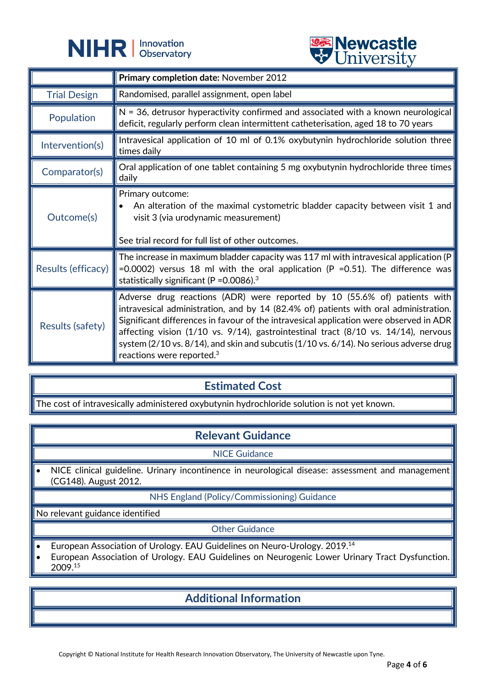



|                     | <b>A</b> CITTACTOTA                                                                                                                                                                                                                                                                                                                                                                                                                                                                  |
|---------------------|--------------------------------------------------------------------------------------------------------------------------------------------------------------------------------------------------------------------------------------------------------------------------------------------------------------------------------------------------------------------------------------------------------------------------------------------------------------------------------------|
|                     | Primary completion date: November 2012                                                                                                                                                                                                                                                                                                                                                                                                                                               |
| <b>Trial Design</b> | Randomised, parallel assignment, open label                                                                                                                                                                                                                                                                                                                                                                                                                                          |
| Population          | $N = 36$ , detrusor hyperactivity confirmed and associated with a known neurological<br>deficit, regularly perform clean intermittent catheterisation, aged 18 to 70 years                                                                                                                                                                                                                                                                                                           |
| Intervention(s)     | Intravesical application of 10 ml of 0.1% oxybutynin hydrochloride solution three<br>times daily                                                                                                                                                                                                                                                                                                                                                                                     |
| Comparator(s)       | Oral application of one tablet containing 5 mg oxybutynin hydrochloride three times<br>daily                                                                                                                                                                                                                                                                                                                                                                                         |
| Outcome(s)          | Primary outcome:<br>An alteration of the maximal cystometric bladder capacity between visit 1 and<br>visit 3 (via urodynamic measurement)<br>See trial record for full list of other outcomes.                                                                                                                                                                                                                                                                                       |
| Results (efficacy)  | The increase in maximum bladder capacity was 117 ml with intravesical application (P<br>=0.0002) versus 18 ml with the oral application (P =0.51). The difference was<br>statistically significant (P = $0.0086$ ). <sup>3</sup>                                                                                                                                                                                                                                                     |
| Results (safety)    | Adverse drug reactions (ADR) were reported by 10 (55.6% of) patients with<br>intravesical administration, and by 14 (82.4% of) patients with oral administration.<br>Significant differences in favour of the intravesical application were observed in ADR<br>affecting vision (1/10 vs. 9/14), gastrointestinal tract (8/10 vs. 14/14), nervous<br>system (2/10 vs. 8/14), and skin and subcutis (1/10 vs. 6/14). No serious adverse drug<br>reactions were reported. <sup>3</sup> |

## **Estimated Cost**

The cost of intravesically administered oxybutynin hydrochloride solution is not yet known.

#### **Relevant Guidance**

NICE Guidance

NICE clinical guideline. Urinary incontinence in neurological disease: assessment and management (CG148). August 2012.

#### NHS England (Policy/Commissioning) Guidance

No relevant guidance identified

Other Guidance

- European Association of Urology. EAU Guidelines on Neuro-Urology. 2019.<sup>14</sup>
- European Association of Urology. EAU Guidelines on Neurogenic Lower Urinary Tract Dysfunction. 2009.15

## **Additional Information**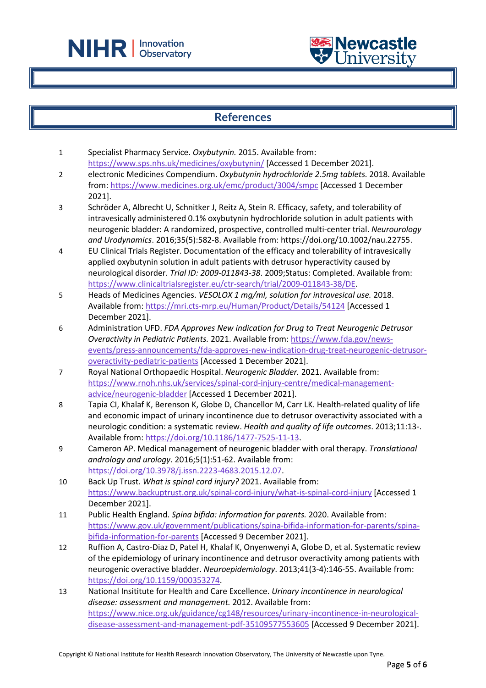



#### **References**

1 Specialist Pharmacy Service. *Oxybutynin.* 2015. Available from: <https://www.sps.nhs.uk/medicines/oxybutynin/> [Accessed 1 December 2021].

L

- 2 electronic Medicines Compendium. *Oxybutynin hydrochloride 2.5mg tablets.* 2018. Available from:<https://www.medicines.org.uk/emc/product/3004/smpc> [Accessed 1 December 2021].
- 3 Schröder A, Albrecht U, Schnitker J, Reitz A, Stein R. Efficacy, safety, and tolerability of intravesically administered 0.1% oxybutynin hydrochloride solution in adult patients with neurogenic bladder: A randomized, prospective, controlled multi-center trial. *Neurourology and Urodynamics*. 2016;35(5):582-8. Available from: https://doi.org/10.1002/nau.22755.
- 4 EU Clinical Trials Register. Documentation of the efficacy and tolerability of intravesically applied oxybutynin solution in adult patients with detrusor hyperactivity caused by neurological disorder. *Trial ID: 2009-011843-38*. 2009;Status: Completed. Available from: [https://www.clinicaltrialsregister.eu/ctr-search/trial/2009-011843-38/DE.](https://www.clinicaltrialsregister.eu/ctr-search/trial/2009-011843-38/DE)
- 5 Heads of Medicines Agencies. *VESOLOX 1 mg/ml, solution for intravesical use.* 2018. Available from:<https://mri.cts-mrp.eu/Human/Product/Details/54124> [Accessed 1 December 2021].
- 6 Administration UFD. *FDA Approves New indication for Drug to Treat Neurogenic Detrusor Overactivity in Pediatric Patients.* 2021. Available from: [https://www.fda.gov/news](https://www.fda.gov/news-events/press-announcements/fda-approves-new-indication-drug-treat-neurogenic-detrusor-overactivity-pediatric-patients)[events/press-announcements/fda-approves-new-indication-drug-treat-neurogenic-detrusor](https://www.fda.gov/news-events/press-announcements/fda-approves-new-indication-drug-treat-neurogenic-detrusor-overactivity-pediatric-patients)[overactivity-pediatric-patients](https://www.fda.gov/news-events/press-announcements/fda-approves-new-indication-drug-treat-neurogenic-detrusor-overactivity-pediatric-patients) [Accessed 1 December 2021].
- 7 Royal National Orthopaedic Hospital. *Neurogenic Bladder.* 2021. Available from: [https://www.rnoh.nhs.uk/services/spinal-cord-injury-centre/medical-management](https://www.rnoh.nhs.uk/services/spinal-cord-injury-centre/medical-management-advice/neurogenic-bladder)[advice/neurogenic-bladder](https://www.rnoh.nhs.uk/services/spinal-cord-injury-centre/medical-management-advice/neurogenic-bladder) [Accessed 1 December 2021].
- 8 Tapia CI, Khalaf K, Berenson K, Globe D, Chancellor M, Carr LK. Health-related quality of life and economic impact of urinary incontinence due to detrusor overactivity associated with a neurologic condition: a systematic review. *Health and quality of life outcomes*. 2013;11:13-. Available from: [https://doi.org/10.1186/1477-7525-11-13.](https://doi.org/10.1186/1477-7525-11-13)
- 9 Cameron AP. Medical management of neurogenic bladder with oral therapy. *Translational andrology and urology*. 2016;5(1):51-62. Available from: [https://doi.org/10.3978/j.issn.2223-4683.2015.12.07.](https://doi.org/10.3978/j.issn.2223-4683.2015.12.07)
- 10 Back Up Trust. *What is spinal cord injury?* 2021. Available from: <https://www.backuptrust.org.uk/spinal-cord-injury/what-is-spinal-cord-injury> [Accessed 1 December 2021].
- 11 Public Health England. *Spina bifida: information for parents.* 2020. Available from: [https://www.gov.uk/government/publications/spina-bifida-information-for-parents/spina](https://www.gov.uk/government/publications/spina-bifida-information-for-parents/spina-bifida-information-for-parents)[bifida-information-for-parents](https://www.gov.uk/government/publications/spina-bifida-information-for-parents/spina-bifida-information-for-parents) [Accessed 9 December 2021].
- 12 Ruffion A, Castro-Diaz D, Patel H, Khalaf K, Onyenwenyi A, Globe D, et al. Systematic review of the epidemiology of urinary incontinence and detrusor overactivity among patients with neurogenic overactive bladder. *Neuroepidemiology*. 2013;41(3-4):146-55. Available from: [https://doi.org/10.1159/000353274.](https://doi.org/10.1159/000353274)
- 13 National Insititute for Health and Care Excellence. *Urinary incontinence in neurological disease: assessment and management.* 2012. Available from: [https://www.nice.org.uk/guidance/cg148/resources/urinary-incontinence-in-neurological](https://www.nice.org.uk/guidance/cg148/resources/urinary-incontinence-in-neurological-disease-assessment-and-management-pdf-35109577553605)[disease-assessment-and-management-pdf-35109577553605](https://www.nice.org.uk/guidance/cg148/resources/urinary-incontinence-in-neurological-disease-assessment-and-management-pdf-35109577553605) [Accessed 9 December 2021].